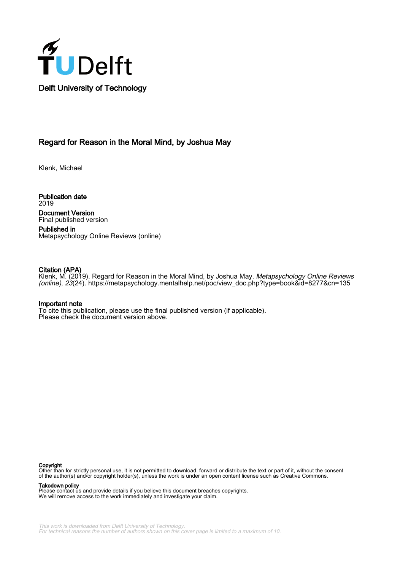

# Regard for Reason in the Moral Mind, by Joshua May

Klenk, Michael

Publication date 2019 Document Version Final published version

Published in Metapsychology Online Reviews (online)

# Citation (APA)

Klenk, M. (2019). Regard for Reason in the Moral Mind, by Joshua May. *Metapsychology Online Reviews* (online), 23(24). [https://metapsychology.mentalhelp.net/poc/view\\_doc.php?type=book&id=8277&cn=135](https://metapsychology.mentalhelp.net/poc/view_doc.php?type=book&id=8277&cn=135)

### Important note

To cite this publication, please use the final published version (if applicable). Please check the document version above.

#### Copyright

Other than for strictly personal use, it is not permitted to download, forward or distribute the text or part of it, without the consent of the author(s) and/or copyright holder(s), unless the work is under an open content license such as Creative Commons.

Takedown policy

Please contact us and provide details if you believe this document breaches copyrights. We will remove access to the work immediately and investigate your claim.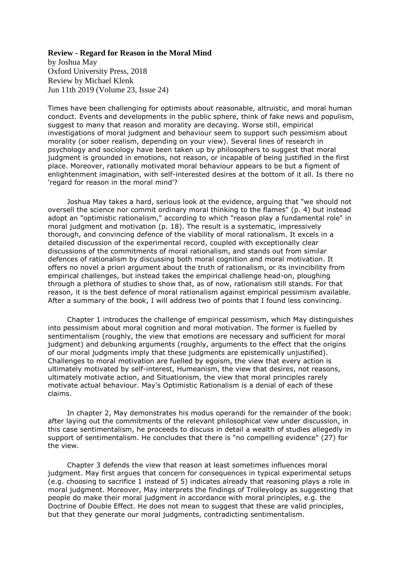## **Review - Regard for Reason in the Moral Mind**

by Joshua May Oxford University Press, 2018 Review by Michael Klenk Jun 11th 2019 (Volume 23, Issue 24)

Times have been challenging for optimists about reasonable, altruistic, and moral human conduct. Events and developments in the public sphere, think of fake news and populism, suggest to many that reason and morality are decaying. Worse still, empirical investigations of moral judgment and behaviour seem to support such pessimism about morality (or sober realism, depending on your view). Several lines of research in psychology and sociology have been taken up by philosophers to suggest that moral judgment is grounded in emotions, not reason, or incapable of being justified in the first place. Moreover, rationally motivated moral behaviour appears to be but a figment of enlightenment imagination, with self-interested desires at the bottom of it all. Is there no 'regard for reason in the moral mind'?

Joshua May takes a hard, serious look at the evidence, arguing that "we should not oversell the science nor commit ordinary moral thinking to the flames" (p. 4) but instead adopt an "optimistic rationalism," according to which "reason play a fundamental role" in moral judgment and motivation (p. 18). The result is a systematic, impressively thorough, and convincing defence of the viability of moral rationalism. It excels in a detailed discussion of the experimental record, coupled with exceptionally clear discussions of the commitments of moral rationalism, and stands out from similar defences of rationalism by discussing both moral cognition and moral motivation. It offers no novel a priori argument about the truth of rationalism, or its invincibility from empirical challenges, but instead takes the empirical challenge head-on, ploughing through a plethora of studies to show that, as of now, rationalism still stands. For that reason, it is the best defence of moral rationalism against empirical pessimism available. After a summary of the book, I will address two of points that I found less convincing.

Chapter 1 introduces the challenge of empirical pessimism, which May distinguishes into pessimism about moral cognition and moral motivation. The former is fuelled by sentimentalism (roughly, the view that emotions are necessary and sufficient for moral judgment) and debunking arguments (roughly, arguments to the effect that the origins of our moral judgments imply that these judgments are epistemically unjustified). Challenges to moral motivation are fuelled by egoism, the view that every action is ultimately motivated by self-interest, Humeanism, the view that desires, not reasons, ultimately motivate action, and Situationism, the view that moral principles rarely motivate actual behaviour. May's Optimistic Rationalism is a denial of each of these claims.

In chapter 2, May demonstrates his modus operandi for the remainder of the book: after laying out the commitments of the relevant philosophical view under discussion, in this case sentimentalism, he proceeds to discuss in detail a wealth of studies allegedly in support of sentimentalism. He concludes that there is "no compelling evidence" (27) for the view.

Chapter 3 defends the view that reason at least sometimes influences moral judgment. May first argues that concern for consequences in typical experimental setups (e.g. choosing to sacrifice 1 instead of 5) indicates already that reasoning plays a role in moral judgment. Moreover, May interprets the findings of Trolleyology as suggesting that people do make their moral judgment in accordance with moral principles, e.g. the Doctrine of Double Effect. He does not mean to suggest that these are valid principles, but that they generate our moral judgments, contradicting sentimentalism.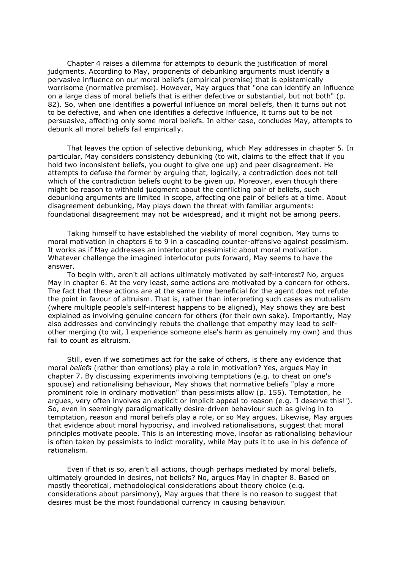Chapter 4 raises a dilemma for attempts to debunk the justification of moral judgments. According to May, proponents of debunking arguments must identify a pervasive influence on our moral beliefs (empirical premise) that is epistemically worrisome (normative premise). However, May argues that "one can identify an influence on a large class of moral beliefs that is either defective or substantial, but not both" (p. 82). So, when one identifies a powerful influence on moral beliefs, then it turns out not to be defective, and when one identifies a defective influence, it turns out to be not persuasive, affecting only some moral beliefs. In either case, concludes May, attempts to debunk all moral beliefs fail empirically.

That leaves the option of selective debunking, which May addresses in chapter 5. In particular, May considers consistency debunking (to wit, claims to the effect that if you hold two inconsistent beliefs, you ought to give one up) and peer disagreement. He attempts to defuse the former by arguing that, logically, a contradiction does not tell which of the contradiction beliefs ought to be given up. Moreover, even though there might be reason to withhold judgment about the conflicting pair of beliefs, such debunking arguments are limited in scope, affecting one pair of beliefs at a time. About disagreement debunking, May plays down the threat with familiar arguments: foundational disagreement may not be widespread, and it might not be among peers.

Taking himself to have established the viability of moral cognition, May turns to moral motivation in chapters 6 to 9 in a cascading counter-offensive against pessimism. It works as if May addresses an interlocutor pessimistic about moral motivation. Whatever challenge the imagined interlocutor puts forward, May seems to have the answer.

To begin with, aren't all actions ultimately motivated by self-interest? No, argues May in chapter 6. At the very least, some actions are motivated by a concern for others. The fact that these actions are at the same time beneficial for the agent does not refute the point in favour of altruism. That is, rather than interpreting such cases as mutualism (where multiple people's self-interest happens to be aligned), May shows they are best explained as involving genuine concern for others (for their own sake). Importantly, May also addresses and convincingly rebuts the challenge that empathy may lead to selfother merging (to wit, I experience someone else's harm as genuinely my own) and thus fail to count as altruism.

Still, even if we sometimes act for the sake of others, is there any evidence that moral *beliefs* (rather than emotions) play a role in motivation? Yes, argues May in chapter 7. By discussing experiments involving temptations (e.g. to cheat on one's spouse) and rationalising behaviour, May shows that normative beliefs "play a more prominent role in ordinary motivation" than pessimists allow (p. 155). Temptation, he argues, very often involves an explicit or implicit appeal to reason (e.g. 'I deserve this!'). So, even in seemingly paradigmatically desire-driven behaviour such as giving in to temptation, reason and moral beliefs play a role, or so May argues. Likewise, May argues that evidence about moral hypocrisy, and involved rationalisations, suggest that moral principles motivate people. This is an interesting move, insofar as rationalising behaviour is often taken by pessimists to indict morality, while May puts it to use in his defence of rationalism.

Even if that is so, aren't all actions, though perhaps mediated by moral beliefs, ultimately grounded in desires, not beliefs? No, argues May in chapter 8. Based on mostly theoretical, methodological considerations about theory choice (e.g. considerations about parsimony), May argues that there is no reason to suggest that desires must be the most foundational currency in causing behaviour.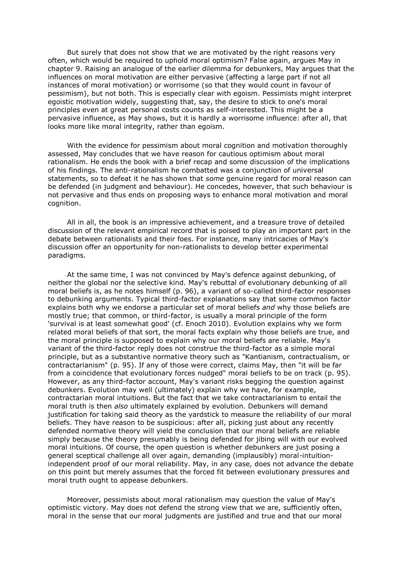But surely that does not show that we are motivated by the right reasons very often, which would be required to uphold moral optimism? False again, argues May in chapter 9. Raising an analogue of the earlier dilemma for debunkers, May argues that the influences on moral motivation are either pervasive (affecting a large part if not all instances of moral motivation) or worrisome (so that they would count in favour of pessimism), but not both. This is especially clear with egoism. Pessimists might interpret egoistic motivation widely, suggesting that, say, the desire to stick to one's moral principles even at great personal costs counts as self-interested. This might be a pervasive influence, as May shows, but it is hardly a worrisome influence: after all, that looks more like moral integrity, rather than egoism.

With the evidence for pessimism about moral cognition and motivation thoroughly assessed, May concludes that we have reason for cautious optimism about moral rationalism. He ends the book with a brief recap and some discussion of the implications of his findings. The anti-rationalism he combatted was a conjunction of universal statements, so to defeat it he has shown that *some* genuine regard for moral reason can be defended (in judgment and behaviour). He concedes, however, that such behaviour is not pervasive and thus ends on proposing ways to enhance moral motivation and moral cognition.

All in all, the book is an impressive achievement, and a treasure trove of detailed discussion of the relevant empirical record that is poised to play an important part in the debate between rationalists and their foes. For instance, many intricacies of May's discussion offer an opportunity for non-rationalists to develop better experimental paradigms.

At the same time, I was not convinced by May's defence against debunking, of neither the global nor the selective kind. May's rebuttal of evolutionary debunking of all moral beliefs is, as he notes himself (p. 96), a variant of so-called third-factor responses to debunking arguments. Typical third-factor explanations say that some common factor explains both why we endorse a particular set of moral beliefs *and* why those beliefs are mostly true; that common, or third-factor, is usually a moral principle of the form 'survival is at least somewhat good' (cf. Enoch 2010). Evolution explains why we form related moral beliefs of that sort, the moral facts explain why those beliefs are true, and the moral principle is supposed to explain why our moral beliefs are reliable. May's variant of the third-factor reply does not construe the third-factor as a simple moral principle, but as a substantive normative theory such as "Kantianism, contractualism, or contractarianism" (p. 95). If any of those were correct, claims May, then "it will be far from a coincidence that evolutionary forces nudged" moral beliefs to be on track (p. 95). However, as any third-factor account, May's variant risks begging the question against debunkers. Evolution may well (ultimately) explain why we have, for example, contractarian moral intuitions. But the fact that we take contractarianism to entail the moral truth is then *also* ultimately explained by evolution. Debunkers will demand justification for taking said theory as the yardstick to measure the reliability of our moral beliefs. They have reason to be suspicious: after all, picking just about any recently defended normative theory will yield the conclusion that our moral beliefs are reliable simply because the theory presumably is being defended for jibing will with our evolved moral intuitions. Of course, the open question is whether debunkers are just posing a general sceptical challenge all over again, demanding (implausibly) moral-intuitionindependent proof of our moral reliability. May, in any case, does not advance the debate on this point but merely assumes that the forced fit between evolutionary pressures and moral truth ought to appease debunkers.

Moreover, pessimists about moral rationalism may question the value of May's optimistic victory. May does not defend the strong view that we are, sufficiently often, moral in the sense that our moral judgments are justified and true and that our moral